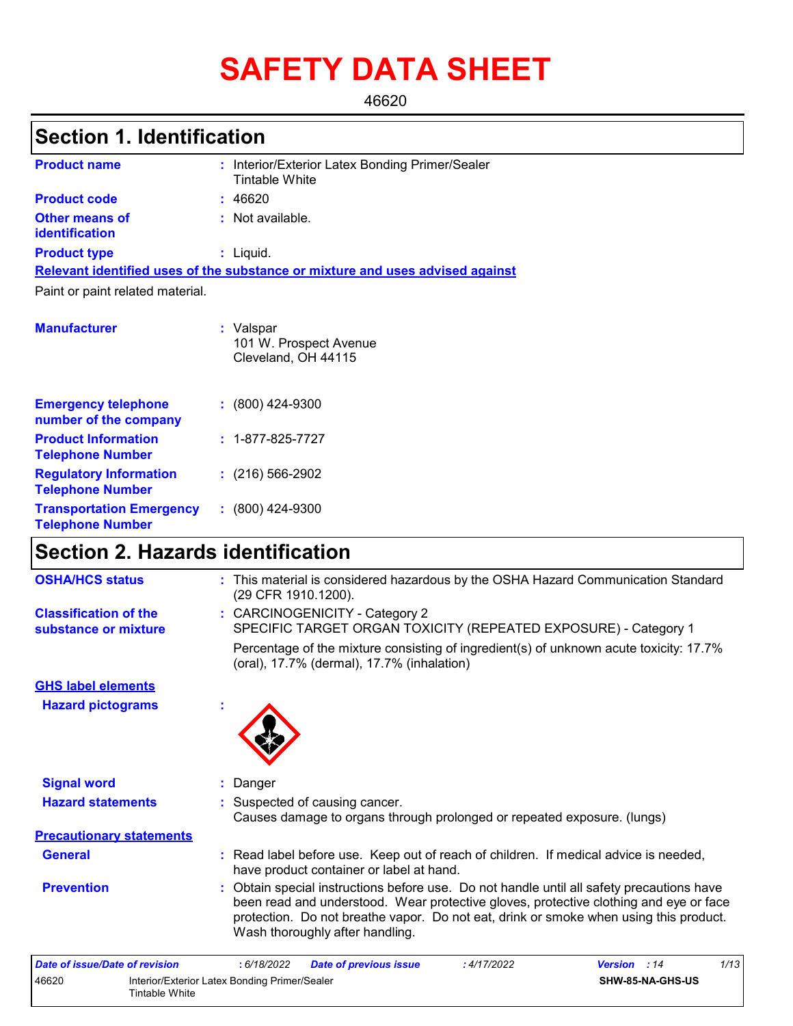# **SAFETY DATA SHEET**

46620

# **Section 1. Identification**

| <b>Product name</b>                                 | : Interior/Exterior Latex Bonding Primer/Sealer<br>Tintable White             |
|-----------------------------------------------------|-------------------------------------------------------------------------------|
| <b>Product code</b>                                 | : 46620                                                                       |
| <b>Other means of</b><br><b>identification</b>      | $:$ Not available.                                                            |
| <b>Product type</b>                                 | $:$ Liquid.                                                                   |
|                                                     | Relevant identified uses of the substance or mixture and uses advised against |
| Paint or paint related material.                    |                                                                               |
|                                                     |                                                                               |
| <b>Manufacturer</b>                                 | : Valspar                                                                     |
|                                                     | 101 W. Prospect Avenue                                                        |
|                                                     | Cleveland, OH 44115                                                           |
|                                                     |                                                                               |
| <b>Emergency telephone</b><br>number of the company | $: (800)$ 424-9300                                                            |
| Poster all a contributions and a contribution of    |                                                                               |

| <b>Product Information</b><br><b>Telephone Number</b>      | $: 1 - 877 - 825 - 7727$ |
|------------------------------------------------------------|--------------------------|
| <b>Regulatory Information</b><br><b>Telephone Number</b>   | $(216)$ 566-2902         |
| <b>Transportation Emergency</b><br><b>Telephone Number</b> | $: (800)$ 424-9300       |

# **Section 2. Hazards identification**

| <b>OSHA/HCS status</b>                               | : This material is considered hazardous by the OSHA Hazard Communication Standard<br>(29 CFR 1910.1200).                                                                                                                                                                                                     |
|------------------------------------------------------|--------------------------------------------------------------------------------------------------------------------------------------------------------------------------------------------------------------------------------------------------------------------------------------------------------------|
| <b>Classification of the</b><br>substance or mixture | : CARCINOGENICITY - Category 2<br>SPECIFIC TARGET ORGAN TOXICITY (REPEATED EXPOSURE) - Category 1                                                                                                                                                                                                            |
|                                                      | Percentage of the mixture consisting of ingredient(s) of unknown acute toxicity: 17.7%<br>(oral), 17.7% (dermal), 17.7% (inhalation)                                                                                                                                                                         |
| <b>GHS label elements</b>                            |                                                                                                                                                                                                                                                                                                              |
| <b>Hazard pictograms</b>                             | ٠                                                                                                                                                                                                                                                                                                            |
|                                                      |                                                                                                                                                                                                                                                                                                              |
| <b>Signal word</b>                                   | : Danger                                                                                                                                                                                                                                                                                                     |
| <b>Hazard statements</b>                             | : Suspected of causing cancer.<br>Causes damage to organs through prolonged or repeated exposure. (lungs)                                                                                                                                                                                                    |
| <b>Precautionary statements</b>                      |                                                                                                                                                                                                                                                                                                              |
| <b>General</b>                                       | : Read label before use. Keep out of reach of children. If medical advice is needed,<br>have product container or label at hand.                                                                                                                                                                             |
| <b>Prevention</b>                                    | Obtain special instructions before use. Do not handle until all safety precautions have<br>been read and understood. Wear protective gloves, protective clothing and eye or face<br>protection. Do not breathe vapor. Do not eat, drink or smoke when using this product.<br>Wash thoroughly after handling. |

| Date of issue/Date of revision |                                                                 | : 6/18/2022 | <b>Date of previous issue</b> | : 4/17/2022 | <b>Version</b> : 14 | 1/13 |
|--------------------------------|-----------------------------------------------------------------|-------------|-------------------------------|-------------|---------------------|------|
| 46620                          | Interior/Exterior Latex Bonding Primer/Sealer<br>Tintable White |             |                               |             | SHW-85-NA-GHS-US    |      |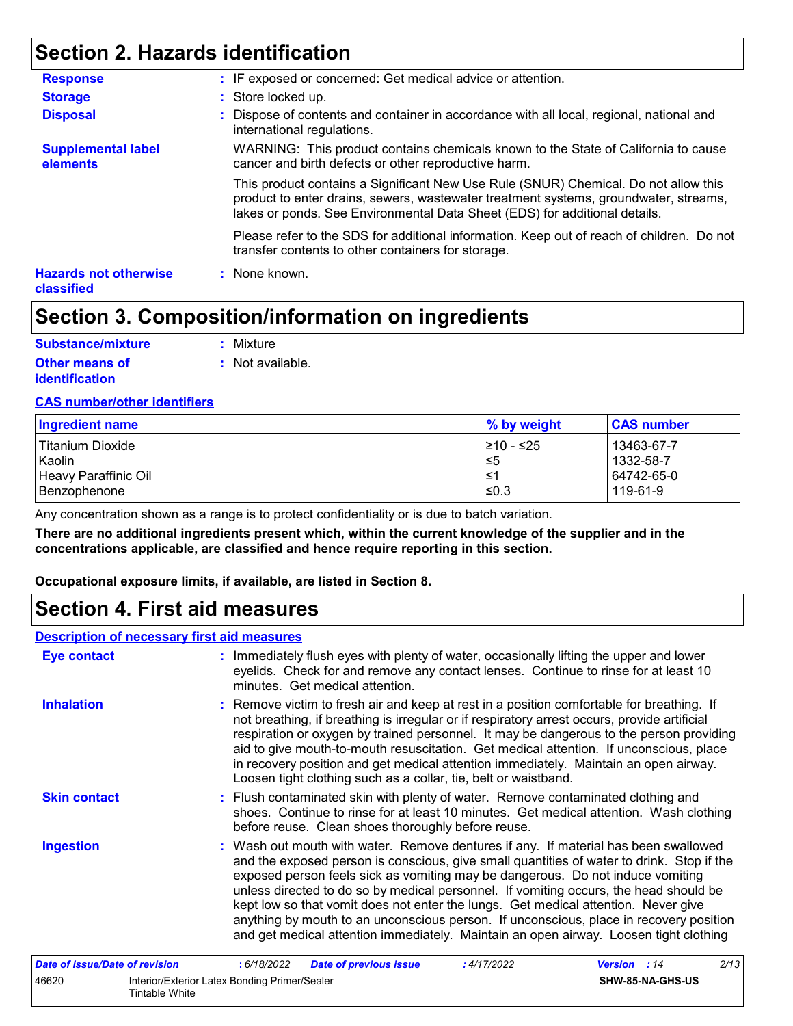### **Section 2. Hazards identification**

| <b>Response</b>                            | : IF exposed or concerned: Get medical advice or attention.                                                                                                                                                                                               |
|--------------------------------------------|-----------------------------------------------------------------------------------------------------------------------------------------------------------------------------------------------------------------------------------------------------------|
| <b>Storage</b>                             | : Store locked up.                                                                                                                                                                                                                                        |
| <b>Disposal</b>                            | : Dispose of contents and container in accordance with all local, regional, national and<br>international regulations.                                                                                                                                    |
| <b>Supplemental label</b><br>elements      | WARNING: This product contains chemicals known to the State of California to cause<br>cancer and birth defects or other reproductive harm.                                                                                                                |
|                                            | This product contains a Significant New Use Rule (SNUR) Chemical. Do not allow this<br>product to enter drains, sewers, wastewater treatment systems, groundwater, streams,<br>lakes or ponds. See Environmental Data Sheet (EDS) for additional details. |
|                                            | Please refer to the SDS for additional information. Keep out of reach of children. Do not<br>transfer contents to other containers for storage.                                                                                                           |
| <b>Hazards not otherwise</b><br>classified | : None known.                                                                                                                                                                                                                                             |

### **Section 3. Composition/information on ingredients**

| Substance/mixture     | : Mixture        |
|-----------------------|------------------|
| <b>Other means of</b> | : Not available. |
| <i>identification</i> |                  |

#### **CAS number/other identifiers**

| Ingredient name         | $\%$ by weight | <b>CAS number</b> |
|-------------------------|----------------|-------------------|
| <b>Titanium Dioxide</b> | 1≥10 - ≤25     | 13463-67-7        |
| Kaolin                  | l≤5            | 1332-58-7         |
| Heavy Paraffinic Oil    | ⊺≤1            | 64742-65-0        |
| Benzophenone            | ≤0.3           | 119-61-9          |

Any concentration shown as a range is to protect confidentiality or is due to batch variation.

**There are no additional ingredients present which, within the current knowledge of the supplier and in the concentrations applicable, are classified and hence require reporting in this section.**

**Occupational exposure limits, if available, are listed in Section 8.**

### **Section 4. First aid measures**

#### **Description of necessary first aid measures**

| <b>Eye contact</b>             | : Immediately flush eyes with plenty of water, occasionally lifting the upper and lower<br>eyelids. Check for and remove any contact lenses. Continue to rinse for at least 10<br>minutes. Get medical attention.                                                                                                                                                                                                                                                                                                                                                                                                                    |
|--------------------------------|--------------------------------------------------------------------------------------------------------------------------------------------------------------------------------------------------------------------------------------------------------------------------------------------------------------------------------------------------------------------------------------------------------------------------------------------------------------------------------------------------------------------------------------------------------------------------------------------------------------------------------------|
| <b>Inhalation</b>              | : Remove victim to fresh air and keep at rest in a position comfortable for breathing. If<br>not breathing, if breathing is irregular or if respiratory arrest occurs, provide artificial<br>respiration or oxygen by trained personnel. It may be dangerous to the person providing<br>aid to give mouth-to-mouth resuscitation. Get medical attention. If unconscious, place<br>in recovery position and get medical attention immediately. Maintain an open airway.<br>Loosen tight clothing such as a collar, tie, belt or waistband.                                                                                            |
| <b>Skin contact</b>            | : Flush contaminated skin with plenty of water. Remove contaminated clothing and<br>shoes. Continue to rinse for at least 10 minutes. Get medical attention. Wash clothing<br>before reuse. Clean shoes thoroughly before reuse.                                                                                                                                                                                                                                                                                                                                                                                                     |
| <b>Ingestion</b>               | : Wash out mouth with water. Remove dentures if any. If material has been swallowed<br>and the exposed person is conscious, give small quantities of water to drink. Stop if the<br>exposed person feels sick as vomiting may be dangerous. Do not induce vomiting<br>unless directed to do so by medical personnel. If vomiting occurs, the head should be<br>kept low so that vomit does not enter the lungs. Get medical attention. Never give<br>anything by mouth to an unconscious person. If unconscious, place in recovery position<br>and get medical attention immediately. Maintain an open airway. Loosen tight clothing |
| Date of issue/Date of revision | 2/13<br>: 6/18/2022<br><b>Date of previous issue</b><br>:4/17/2022<br><b>Version</b> : 14                                                                                                                                                                                                                                                                                                                                                                                                                                                                                                                                            |
| 46620                          | Interior/Exterior Latex Bonding Primer/Sealer<br>SHW-85-NA-GHS-US                                                                                                                                                                                                                                                                                                                                                                                                                                                                                                                                                                    |

|       |                                               | . | . |               |
|-------|-----------------------------------------------|---|---|---------------|
| 46620 | Interior/Exterior Latex Bonding Primer/Sealer |   |   | SHW-85-NA-GHS |
|       | Tintable White                                |   |   |               |
|       |                                               |   |   |               |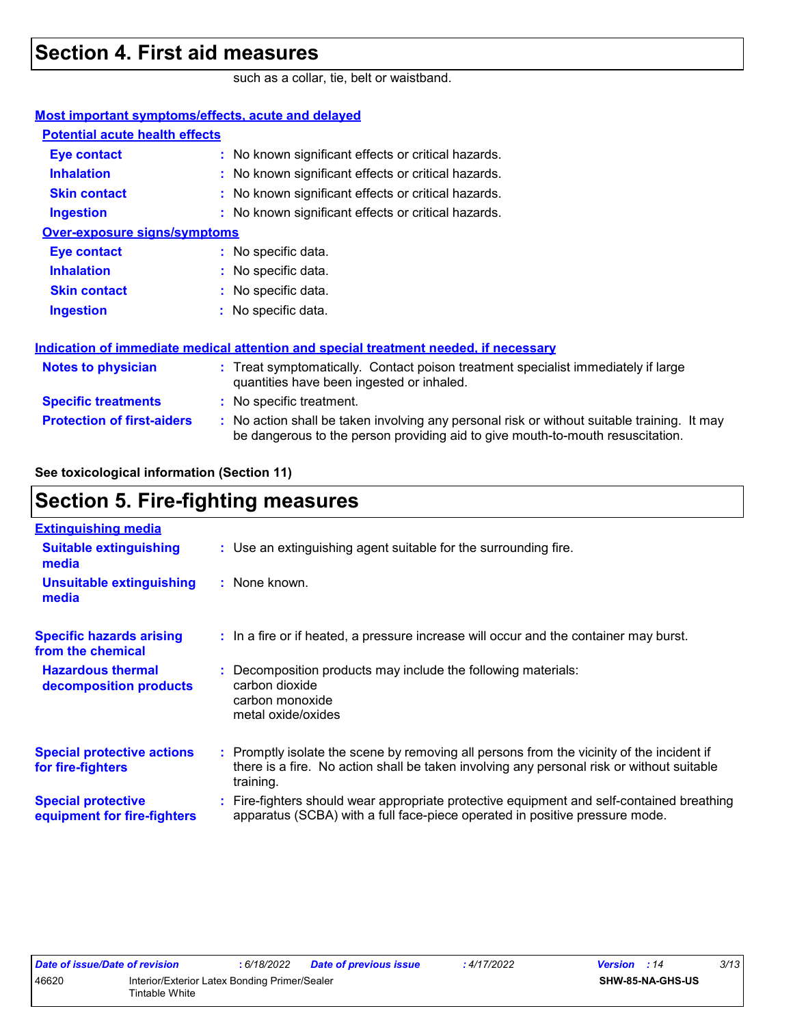### **Section 4. First aid measures**

such as a collar, tie, belt or waistband.

| Most important symptoms/effects, acute and delayed |                                                                                                                                                                               |
|----------------------------------------------------|-------------------------------------------------------------------------------------------------------------------------------------------------------------------------------|
| <b>Potential acute health effects</b>              |                                                                                                                                                                               |
| <b>Eye contact</b>                                 | : No known significant effects or critical hazards.                                                                                                                           |
| <b>Inhalation</b>                                  | : No known significant effects or critical hazards.                                                                                                                           |
| <b>Skin contact</b>                                | : No known significant effects or critical hazards.                                                                                                                           |
| <b>Ingestion</b>                                   | : No known significant effects or critical hazards.                                                                                                                           |
| <b>Over-exposure signs/symptoms</b>                |                                                                                                                                                                               |
| <b>Eye contact</b>                                 | : No specific data.                                                                                                                                                           |
| <b>Inhalation</b>                                  | : No specific data.                                                                                                                                                           |
| <b>Skin contact</b>                                | : No specific data.                                                                                                                                                           |
| <b>Ingestion</b>                                   | : No specific data.                                                                                                                                                           |
|                                                    | Indication of immediate medical attention and special treatment needed, if necessary                                                                                          |
| <b>Notes to physician</b>                          | : Treat symptomatically. Contact poison treatment specialist immediately if large<br>quantities have been ingested or inhaled.                                                |
| <b>Specific treatments</b>                         | : No specific treatment.                                                                                                                                                      |
| <b>Protection of first-aiders</b>                  | : No action shall be taken involving any personal risk or without suitable training. It may<br>be dangerous to the person providing aid to give mouth-to-mouth resuscitation. |
|                                                    |                                                                                                                                                                               |

**See toxicological information (Section 11)**

### **Section 5. Fire-fighting measures**

| <b>Extinguishing media</b>                               |                                                                                                                                                                                                     |
|----------------------------------------------------------|-----------------------------------------------------------------------------------------------------------------------------------------------------------------------------------------------------|
| <b>Suitable extinguishing</b><br>media                   | : Use an extinguishing agent suitable for the surrounding fire.                                                                                                                                     |
| <b>Unsuitable extinguishing</b><br>media                 | : None known.                                                                                                                                                                                       |
| <b>Specific hazards arising</b><br>from the chemical     | : In a fire or if heated, a pressure increase will occur and the container may burst.                                                                                                               |
| <b>Hazardous thermal</b><br>decomposition products       | Decomposition products may include the following materials:<br>carbon dioxide<br>carbon monoxide<br>metal oxide/oxides                                                                              |
| <b>Special protective actions</b><br>for fire-fighters   | : Promptly isolate the scene by removing all persons from the vicinity of the incident if<br>there is a fire. No action shall be taken involving any personal risk or without suitable<br>training. |
| <b>Special protective</b><br>equipment for fire-fighters | : Fire-fighters should wear appropriate protective equipment and self-contained breathing<br>apparatus (SCBA) with a full face-piece operated in positive pressure mode.                            |
|                                                          |                                                                                                                                                                                                     |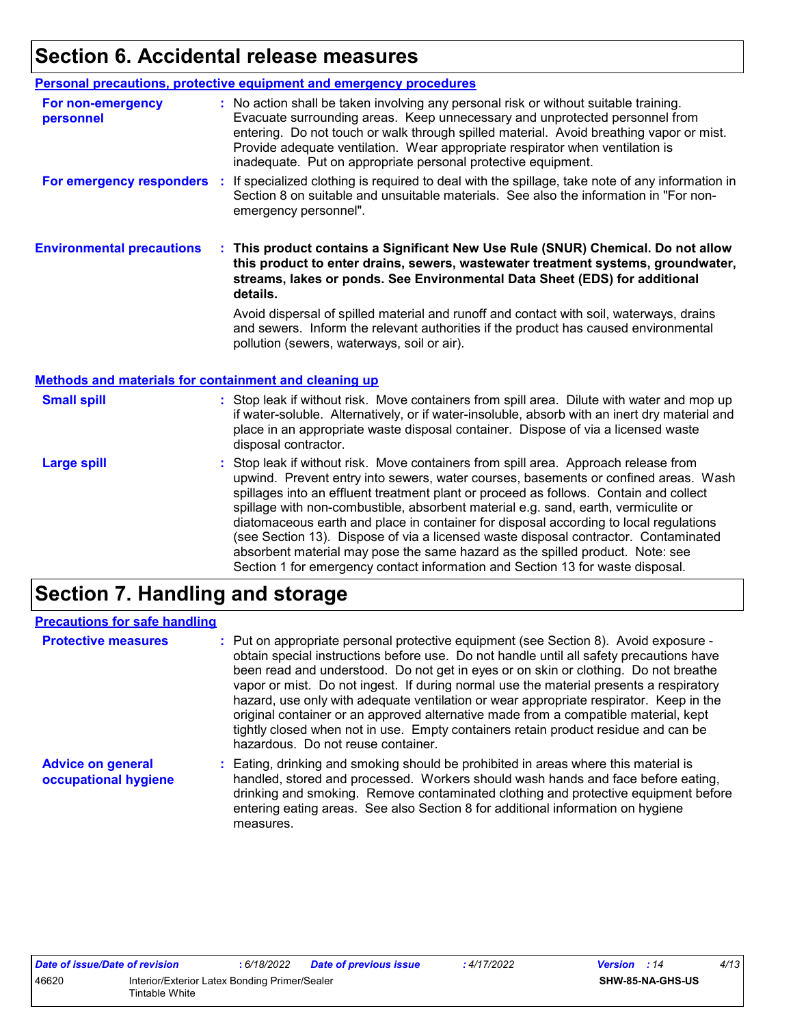# **Section 6. Accidental release measures**

|                                                       | Personal precautions, protective equipment and emergency procedures                                                                                                                                                                                                                                                                                                                                              |
|-------------------------------------------------------|------------------------------------------------------------------------------------------------------------------------------------------------------------------------------------------------------------------------------------------------------------------------------------------------------------------------------------------------------------------------------------------------------------------|
|                                                       |                                                                                                                                                                                                                                                                                                                                                                                                                  |
| For non-emergency<br>personnel                        | : No action shall be taken involving any personal risk or without suitable training.<br>Evacuate surrounding areas. Keep unnecessary and unprotected personnel from<br>entering. Do not touch or walk through spilled material. Avoid breathing vapor or mist.<br>Provide adequate ventilation. Wear appropriate respirator when ventilation is<br>inadequate. Put on appropriate personal protective equipment. |
| For emergency responders                              | If specialized clothing is required to deal with the spillage, take note of any information in<br>$\mathcal{L}_{\mathrm{eff}}$<br>Section 8 on suitable and unsuitable materials. See also the information in "For non-<br>emergency personnel".                                                                                                                                                                 |
| <b>Environmental precautions</b>                      | This product contains a Significant New Use Rule (SNUR) Chemical. Do not allow<br>this product to enter drains, sewers, wastewater treatment systems, groundwater,<br>streams, lakes or ponds. See Environmental Data Sheet (EDS) for additional<br>details.                                                                                                                                                     |
|                                                       | Avoid dispersal of spilled material and runoff and contact with soil, waterways, drains<br>and sewers. Inform the relevant authorities if the product has caused environmental                                                                                                                                                                                                                                   |
|                                                       | pollution (sewers, waterways, soil or air).                                                                                                                                                                                                                                                                                                                                                                      |
| Methods and materials for containment and cleaning up |                                                                                                                                                                                                                                                                                                                                                                                                                  |
| <b>Small spill</b>                                    | : Stop leak if without risk. Move containers from spill area. Dilute with water and mop up<br>if water-soluble. Alternatively, or if water-insoluble, absorb with an inert dry material and<br>place in an appropriate waste disposal container. Dispose of via a licensed waste<br>disposal contractor.                                                                                                         |

### **Section 7. Handling and storage**

| <b>Precautions for safe handling</b>             |                                                                                                                                                                                                                                                                                                                                                                                                                                                                                                                                                                                                                                                                               |
|--------------------------------------------------|-------------------------------------------------------------------------------------------------------------------------------------------------------------------------------------------------------------------------------------------------------------------------------------------------------------------------------------------------------------------------------------------------------------------------------------------------------------------------------------------------------------------------------------------------------------------------------------------------------------------------------------------------------------------------------|
| <b>Protective measures</b>                       | : Put on appropriate personal protective equipment (see Section 8). Avoid exposure -<br>obtain special instructions before use. Do not handle until all safety precautions have<br>been read and understood. Do not get in eyes or on skin or clothing. Do not breathe<br>vapor or mist. Do not ingest. If during normal use the material presents a respiratory<br>hazard, use only with adequate ventilation or wear appropriate respirator. Keep in the<br>original container or an approved alternative made from a compatible material, kept<br>tightly closed when not in use. Empty containers retain product residue and can be<br>hazardous. Do not reuse container. |
| <b>Advice on general</b><br>occupational hygiene | : Eating, drinking and smoking should be prohibited in areas where this material is<br>handled, stored and processed. Workers should wash hands and face before eating,<br>drinking and smoking. Remove contaminated clothing and protective equipment before<br>entering eating areas. See also Section 8 for additional information on hygiene<br>measures.                                                                                                                                                                                                                                                                                                                 |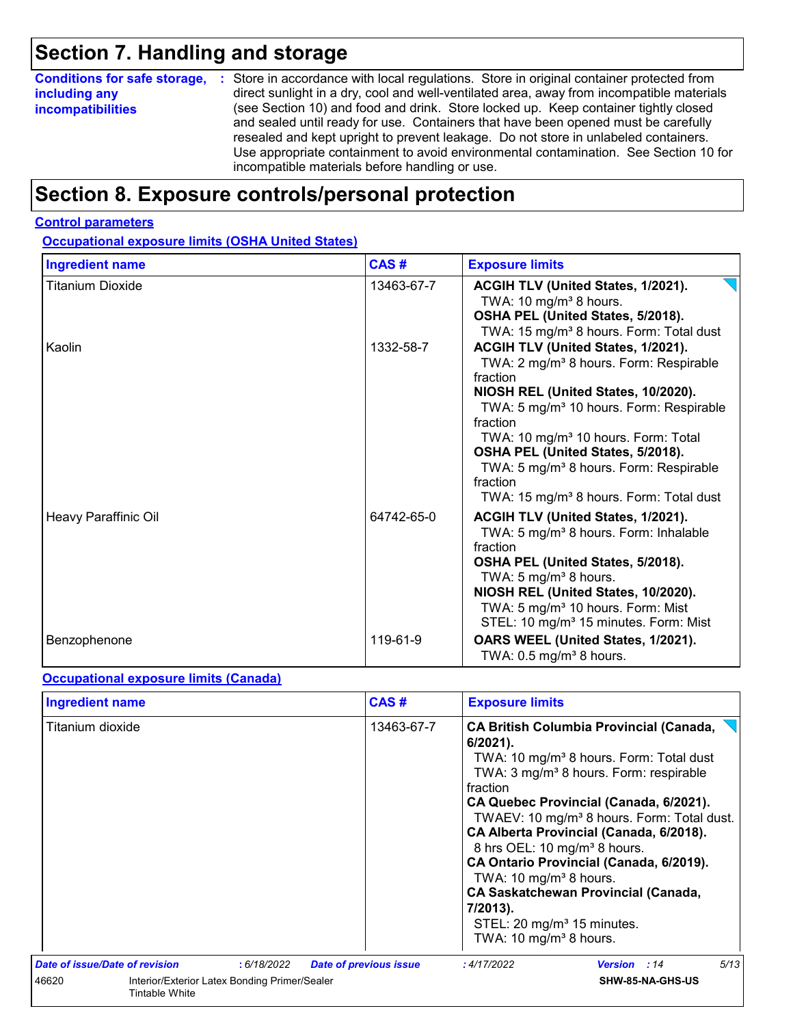# **Section 7. Handling and storage**

| <b>Conditions for safe storage,</b> | : Store in accordance with local regulations. Store in original container protected from                                                                                  |  |  |
|-------------------------------------|---------------------------------------------------------------------------------------------------------------------------------------------------------------------------|--|--|
| including any                       | direct sunlight in a dry, cool and well-ventilated area, away from incompatible materials                                                                                 |  |  |
| <b>incompatibilities</b>            | (see Section 10) and food and drink. Store locked up. Keep container tightly closed<br>and sealed until ready for use. Containers that have been opened must be carefully |  |  |
|                                     | resealed and kept upright to prevent leakage. Do not store in unlabeled containers.                                                                                       |  |  |
|                                     | Use appropriate containment to avoid environmental contamination. See Section 10 for                                                                                      |  |  |
|                                     | incompatible materials before handling or use.                                                                                                                            |  |  |

### **Section 8. Exposure controls/personal protection**

#### **Control parameters**

#### **Occupational exposure limits (OSHA United States)**

| <b>Ingredient name</b>  | CAS#       | <b>Exposure limits</b>                                                                                                                                                                                                                                                                                                                                                                                                          |
|-------------------------|------------|---------------------------------------------------------------------------------------------------------------------------------------------------------------------------------------------------------------------------------------------------------------------------------------------------------------------------------------------------------------------------------------------------------------------------------|
| <b>Titanium Dioxide</b> | 13463-67-7 | ACGIH TLV (United States, 1/2021).<br>TWA: 10 mg/m <sup>3</sup> 8 hours.<br>OSHA PEL (United States, 5/2018).<br>TWA: 15 mg/m <sup>3</sup> 8 hours. Form: Total dust                                                                                                                                                                                                                                                            |
| Kaolin                  | 1332-58-7  | ACGIH TLV (United States, 1/2021).<br>TWA: 2 mg/m <sup>3</sup> 8 hours. Form: Respirable<br>fraction<br>NIOSH REL (United States, 10/2020).<br>TWA: 5 mg/m <sup>3</sup> 10 hours. Form: Respirable<br>fraction<br>TWA: 10 mg/m <sup>3</sup> 10 hours. Form: Total<br>OSHA PEL (United States, 5/2018).<br>TWA: 5 mg/m <sup>3</sup> 8 hours. Form: Respirable<br>fraction<br>TWA: 15 mg/m <sup>3</sup> 8 hours. Form: Total dust |
| Heavy Paraffinic Oil    | 64742-65-0 | ACGIH TLV (United States, 1/2021).<br>TWA: 5 mg/m <sup>3</sup> 8 hours. Form: Inhalable<br>fraction<br>OSHA PEL (United States, 5/2018).<br>TWA: 5 mg/m <sup>3</sup> 8 hours.<br>NIOSH REL (United States, 10/2020).<br>TWA: 5 mg/m <sup>3</sup> 10 hours. Form: Mist<br>STEL: 10 mg/m <sup>3</sup> 15 minutes. Form: Mist                                                                                                      |
| Benzophenone            | 119-61-9   | OARS WEEL (United States, 1/2021).<br>TWA: $0.5$ mg/m <sup>3</sup> 8 hours.                                                                                                                                                                                                                                                                                                                                                     |

#### **Occupational exposure limits (Canada)**

| <b>Ingredient name</b>                                                          |             | CAS#                          | <b>Exposure limits</b>                                                                                                                                                                                                                                                                                                                                                                                                                                                                                                                                                                                       |      |
|---------------------------------------------------------------------------------|-------------|-------------------------------|--------------------------------------------------------------------------------------------------------------------------------------------------------------------------------------------------------------------------------------------------------------------------------------------------------------------------------------------------------------------------------------------------------------------------------------------------------------------------------------------------------------------------------------------------------------------------------------------------------------|------|
| Titanium dioxide                                                                |             | 13463-67-7                    | <b>CA British Columbia Provincial (Canada,</b><br>$6/2021$ ).<br>TWA: 10 mg/m <sup>3</sup> 8 hours. Form: Total dust<br>TWA: 3 mg/m <sup>3</sup> 8 hours. Form: respirable<br>fraction<br>CA Quebec Provincial (Canada, 6/2021).<br>TWAEV: 10 mg/m <sup>3</sup> 8 hours. Form: Total dust.<br>CA Alberta Provincial (Canada, 6/2018).<br>8 hrs OEL: 10 mg/m <sup>3</sup> 8 hours.<br>CA Ontario Provincial (Canada, 6/2019).<br>TWA: 10 mg/m <sup>3</sup> 8 hours.<br><b>CA Saskatchewan Provincial (Canada,</b><br>7/2013).<br>STEL: 20 mg/m <sup>3</sup> 15 minutes.<br>TWA: 10 mg/m <sup>3</sup> 8 hours. |      |
| <b>Date of issue/Date of revision</b>                                           | : 6/18/2022 | <b>Date of previous issue</b> | : 4/17/2022<br><b>Version</b> : 14                                                                                                                                                                                                                                                                                                                                                                                                                                                                                                                                                                           | 5/13 |
| Interior/Exterior Latex Bonding Primer/Sealer<br>46620<br><b>Tintable White</b> |             |                               | SHW-85-NA-GHS-US                                                                                                                                                                                                                                                                                                                                                                                                                                                                                                                                                                                             |      |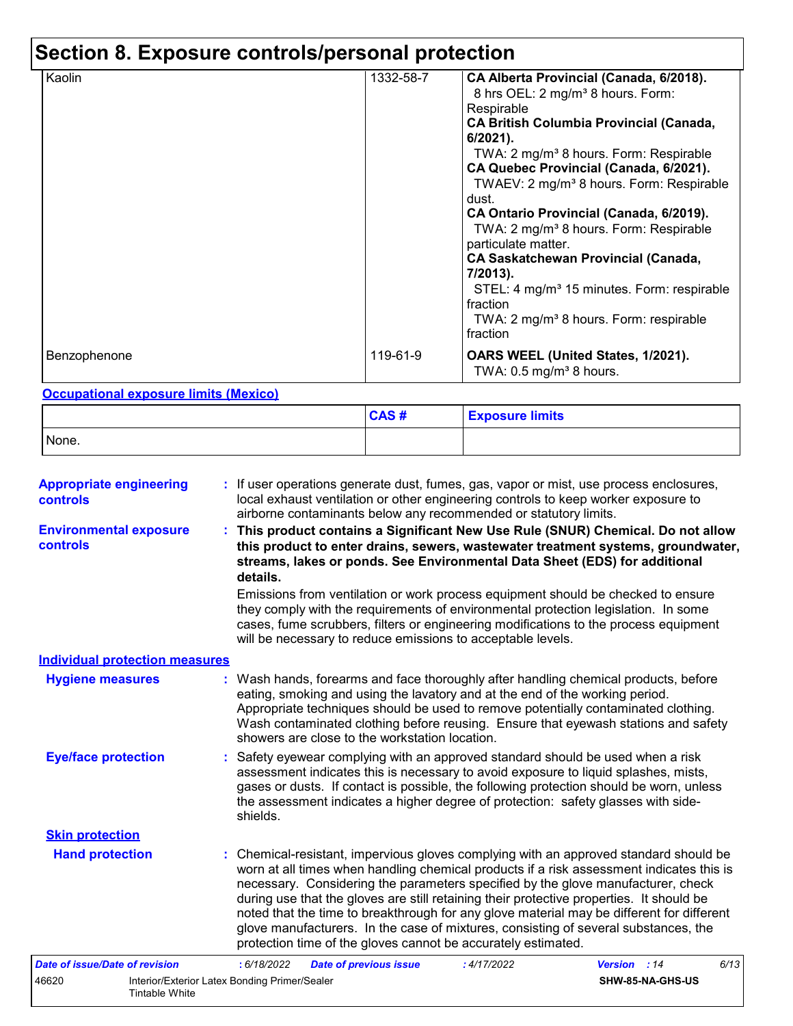# **Section 8. Exposure controls/personal protection**

| Kaolin       | 1332-58-7 | CA Alberta Provincial (Canada, 6/2018).<br>8 hrs OEL: 2 mg/m <sup>3</sup> 8 hours. Form:<br>Respirable<br><b>CA British Columbia Provincial (Canada,</b><br>6/2021).<br>TWA: 2 mg/m <sup>3</sup> 8 hours. Form: Respirable<br>CA Quebec Provincial (Canada, 6/2021).<br>TWAEV: 2 mg/m <sup>3</sup> 8 hours. Form: Respirable<br>dust.<br>CA Ontario Provincial (Canada, 6/2019).<br>TWA: 2 mg/m <sup>3</sup> 8 hours. Form: Respirable<br>particulate matter.<br><b>CA Saskatchewan Provincial (Canada,</b><br>7/2013).<br>STEL: 4 mg/m <sup>3</sup> 15 minutes. Form: respirable<br>fraction<br>TWA: 2 mg/m <sup>3</sup> 8 hours. Form: respirable<br>fraction |
|--------------|-----------|-----------------------------------------------------------------------------------------------------------------------------------------------------------------------------------------------------------------------------------------------------------------------------------------------------------------------------------------------------------------------------------------------------------------------------------------------------------------------------------------------------------------------------------------------------------------------------------------------------------------------------------------------------------------|
| Benzophenone | 119-61-9  | OARS WEEL (United States, 1/2021).<br>TWA: $0.5 \text{ mg/m}^3$ 8 hours.                                                                                                                                                                                                                                                                                                                                                                                                                                                                                                                                                                                        |

#### **Occupational exposure limits (Mexico)**

Tintable White

|       | CAS# | <b>Exposure limits</b> |
|-------|------|------------------------|
| None. |      |                        |

| <b>Appropriate engineering</b><br><b>controls</b> | : If user operations generate dust, fumes, gas, vapor or mist, use process enclosures,<br>local exhaust ventilation or other engineering controls to keep worker exposure to<br>airborne contaminants below any recommended or statutory limits.                                                                                                                                                                                                                                                                                                                                                                       |  |  |  |
|---------------------------------------------------|------------------------------------------------------------------------------------------------------------------------------------------------------------------------------------------------------------------------------------------------------------------------------------------------------------------------------------------------------------------------------------------------------------------------------------------------------------------------------------------------------------------------------------------------------------------------------------------------------------------------|--|--|--|
| <b>Environmental exposure</b><br>controls         | : This product contains a Significant New Use Rule (SNUR) Chemical. Do not allow<br>this product to enter drains, sewers, wastewater treatment systems, groundwater,<br>streams, lakes or ponds. See Environmental Data Sheet (EDS) for additional<br>details.                                                                                                                                                                                                                                                                                                                                                         |  |  |  |
|                                                   | Emissions from ventilation or work process equipment should be checked to ensure<br>they comply with the requirements of environmental protection legislation. In some<br>cases, fume scrubbers, filters or engineering modifications to the process equipment<br>will be necessary to reduce emissions to acceptable levels.                                                                                                                                                                                                                                                                                          |  |  |  |
| <b>Individual protection measures</b>             |                                                                                                                                                                                                                                                                                                                                                                                                                                                                                                                                                                                                                        |  |  |  |
| <b>Hygiene measures</b>                           | : Wash hands, forearms and face thoroughly after handling chemical products, before<br>eating, smoking and using the lavatory and at the end of the working period.<br>Appropriate techniques should be used to remove potentially contaminated clothing.<br>Wash contaminated clothing before reusing. Ensure that eyewash stations and safety<br>showers are close to the workstation location.                                                                                                                                                                                                                      |  |  |  |
| <b>Eye/face protection</b>                        | : Safety eyewear complying with an approved standard should be used when a risk<br>assessment indicates this is necessary to avoid exposure to liquid splashes, mists,<br>gases or dusts. If contact is possible, the following protection should be worn, unless<br>the assessment indicates a higher degree of protection: safety glasses with side-<br>shields.                                                                                                                                                                                                                                                     |  |  |  |
| <b>Skin protection</b>                            |                                                                                                                                                                                                                                                                                                                                                                                                                                                                                                                                                                                                                        |  |  |  |
| <b>Hand protection</b>                            | : Chemical-resistant, impervious gloves complying with an approved standard should be<br>worn at all times when handling chemical products if a risk assessment indicates this is<br>necessary. Considering the parameters specified by the glove manufacturer, check<br>during use that the gloves are still retaining their protective properties. It should be<br>noted that the time to breakthrough for any glove material may be different for different<br>glove manufacturers. In the case of mixtures, consisting of several substances, the<br>protection time of the gloves cannot be accurately estimated. |  |  |  |
| <b>Date of issue/Date of revision</b>             | : 6/18/2022<br>6/13<br><b>Date of previous issue</b><br>: 4/17/2022<br>Version : 14                                                                                                                                                                                                                                                                                                                                                                                                                                                                                                                                    |  |  |  |
| 46620                                             | Interior/Exterior Latex Bonding Primer/Sealer<br>SHW-85-NA-GHS-US                                                                                                                                                                                                                                                                                                                                                                                                                                                                                                                                                      |  |  |  |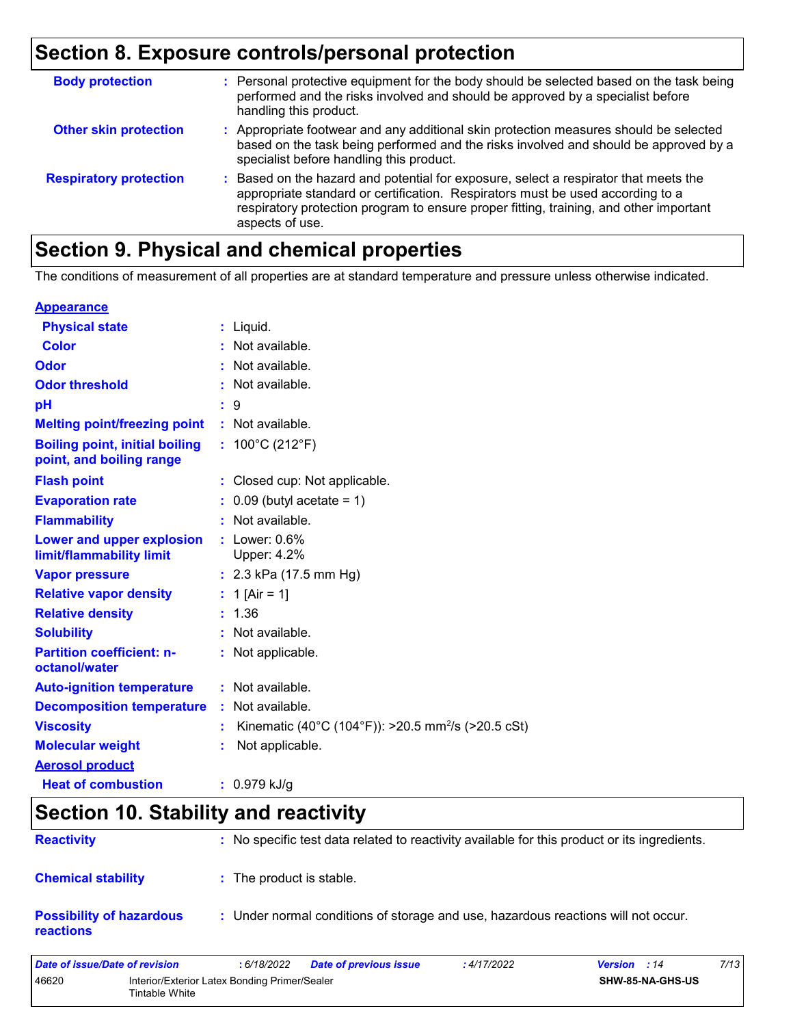### **Section 8. Exposure controls/personal protection**

| <b>Body protection</b>        | : Personal protective equipment for the body should be selected based on the task being<br>performed and the risks involved and should be approved by a specialist before<br>handling this product.                                                                                 |
|-------------------------------|-------------------------------------------------------------------------------------------------------------------------------------------------------------------------------------------------------------------------------------------------------------------------------------|
| <b>Other skin protection</b>  | : Appropriate footwear and any additional skin protection measures should be selected<br>based on the task being performed and the risks involved and should be approved by a<br>specialist before handling this product.                                                           |
| <b>Respiratory protection</b> | : Based on the hazard and potential for exposure, select a respirator that meets the<br>appropriate standard or certification. Respirators must be used according to a<br>respiratory protection program to ensure proper fitting, training, and other important<br>aspects of use. |

# **Section 9. Physical and chemical properties**

The conditions of measurement of all properties are at standard temperature and pressure unless otherwise indicated.

#### **Appearance**

| <b>Physical state</b>                                             |    | $:$ Liquid.                                                    |
|-------------------------------------------------------------------|----|----------------------------------------------------------------|
| <b>Color</b>                                                      |    | Not available.                                                 |
| Odor                                                              |    | Not available.                                                 |
| <b>Odor threshold</b>                                             |    | Not available.                                                 |
| pH                                                                |    | $\therefore$ 9                                                 |
| <b>Melting point/freezing point</b>                               |    | : Not available.                                               |
| <b>Boiling point, initial boiling</b><br>point, and boiling range |    | : $100^{\circ}$ C (212 $^{\circ}$ F)                           |
| <b>Flash point</b>                                                |    | : Closed cup: Not applicable.                                  |
| <b>Evaporation rate</b>                                           |    | $0.09$ (butyl acetate = 1)                                     |
| <b>Flammability</b>                                               |    | Not available.                                                 |
| Lower and upper explosion<br>limit/flammability limit             |    | $:$ Lower: $0.6\%$<br>Upper: 4.2%                              |
| <b>Vapor pressure</b>                                             |    | : $2.3$ kPa (17.5 mm Hg)                                       |
| <b>Relative vapor density</b>                                     |    | : 1 [Air = 1]                                                  |
| <b>Relative density</b>                                           |    | : 1.36                                                         |
| <b>Solubility</b>                                                 |    | Not available.                                                 |
| <b>Partition coefficient: n-</b><br>octanol/water                 |    | Not applicable.                                                |
| <b>Auto-ignition temperature</b>                                  |    | : Not available.                                               |
| <b>Decomposition temperature</b>                                  | ÷. | Not available.                                                 |
| <b>Viscosity</b>                                                  |    | Kinematic (40°C (104°F)): >20.5 mm <sup>2</sup> /s (>20.5 cSt) |
| <b>Molecular weight</b>                                           |    | Not applicable.                                                |
| <b>Aerosol product</b>                                            |    |                                                                |
| <b>Heat of combustion</b>                                         |    | $: 0.979$ kJ/g                                                 |

### **Section 10. Stability and reactivity**

| <b>Reactivity</b>                            | : No specific test data related to reactivity available for this product or its ingredients. |
|----------------------------------------------|----------------------------------------------------------------------------------------------|
| <b>Chemical stability</b>                    | : The product is stable.                                                                     |
| <b>Possibility of hazardous</b><br>reactions | : Under normal conditions of storage and use, hazardous reactions will not occur.            |

| Date of issue/Date of revision |                                                                 | : 6/18/2022 | Date of previous issue | : 4/17/2022 | <b>Version</b> : 14     | 7/13 |
|--------------------------------|-----------------------------------------------------------------|-------------|------------------------|-------------|-------------------------|------|
| 46620                          | Interior/Exterior Latex Bonding Primer/Sealer<br>Tintable White |             |                        |             | <b>SHW-85-NA-GHS-US</b> |      |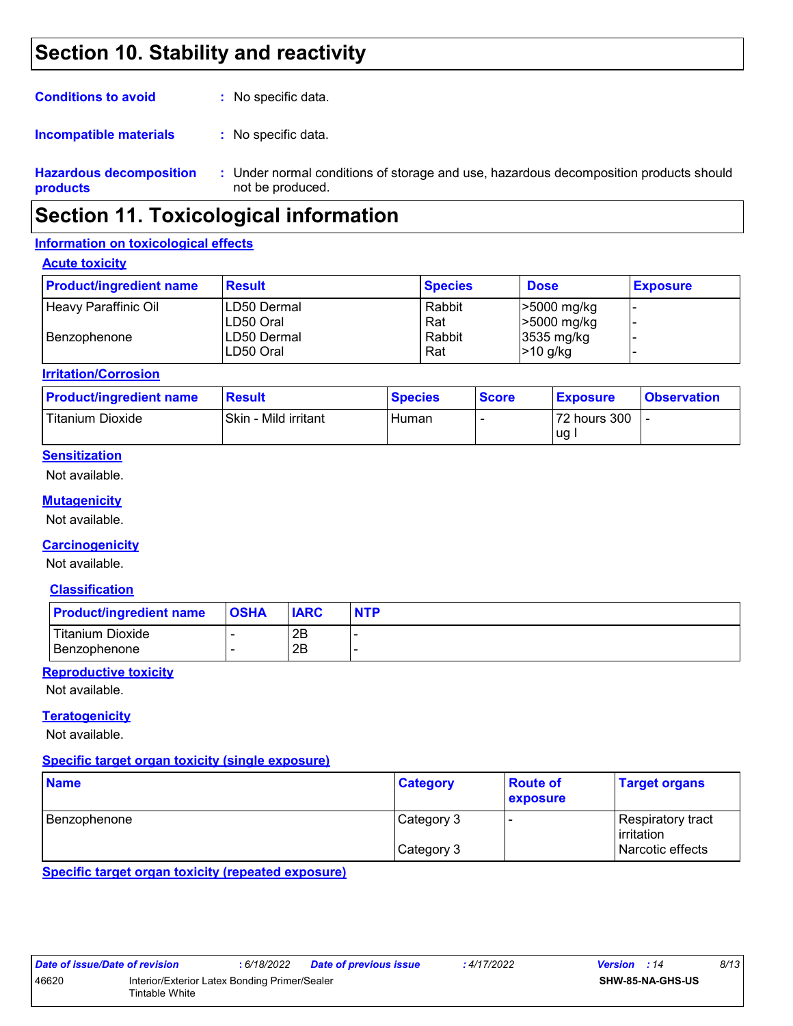### **Section 10. Stability and reactivity**

| <b>Conditions to avoid</b> | : No specific data.                   |
|----------------------------|---------------------------------------|
| Incompatible materials     | : No specific data.                   |
| Hazardous decomposition    | . Hinder normal conditions of storage |

**Hazardous decomposition products** Under normal conditions of storage and use, hazardous decomposition products should **:** not be produced.

### **Section 11. Toxicological information**

#### **Information on toxicological effects**

#### **Acute toxicity**

| <b>Product/ingredient name</b> | <b>Result</b> | <b>Species</b> | <b>Dose</b> | <b>Exposure</b> |
|--------------------------------|---------------|----------------|-------------|-----------------|
| Heavy Paraffinic Oil           | LD50 Dermal   | Rabbit         | >5000 mg/kg |                 |
|                                | ILD50 Oral    | Rat            | >5000 mg/kg |                 |
| i Benzophenone                 | LD50 Dermal   | Rabbit         | 3535 mg/kg  |                 |
|                                | ILD50 Oral    | Rat            | $>10$ g/kg  |                 |

#### **Irritation/Corrosion**

| <b>Product/ingredient name</b> | <b>Result</b>        | <b>Species</b> | <b>Score</b> | <b>Exposure</b> | <b>Observation</b> |
|--------------------------------|----------------------|----------------|--------------|-----------------|--------------------|
| Titanium Dioxide               | Skin - Mild irritant | Human          |              | 72 hours 300    |                    |
|                                |                      |                |              | ug              |                    |

#### **Sensitization**

Not available.

#### **Mutagenicity**

Not available.

#### **Carcinogenicity**

Not available.

#### **Classification**

| <b>Product/ingredient name</b> | <b>OSHA</b> | <b>IARC</b> | <b>NTP</b> |
|--------------------------------|-------------|-------------|------------|
| Titanium Dioxide               |             | 2B          |            |
| l Benzophenone i               |             | 2B          |            |

#### **Reproductive toxicity**

Not available.

#### **Teratogenicity**

Not available.

#### **Specific target organ toxicity (single exposure)**

| <b>Name</b>  | <b>Category</b> | <b>Route of</b><br>exposure | <b>Target organs</b>             |
|--------------|-----------------|-----------------------------|----------------------------------|
| Benzophenone | Category 3      |                             | Respiratory tract<br>lirritation |
|              | Category 3      |                             | Narcotic effects                 |

**Specific target organ toxicity (repeated exposure)**

| Date of issue/Date of revision |                                                                 | : 6/18/2022 | Date of previous issue | : 4/17/2022 | <b>Version</b> : 14 |                         | 8/13 |  |
|--------------------------------|-----------------------------------------------------------------|-------------|------------------------|-------------|---------------------|-------------------------|------|--|
| 46620                          | Interior/Exterior Latex Bonding Primer/Sealer<br>Fintable White |             |                        |             |                     | <b>SHW-85-NA-GHS-US</b> |      |  |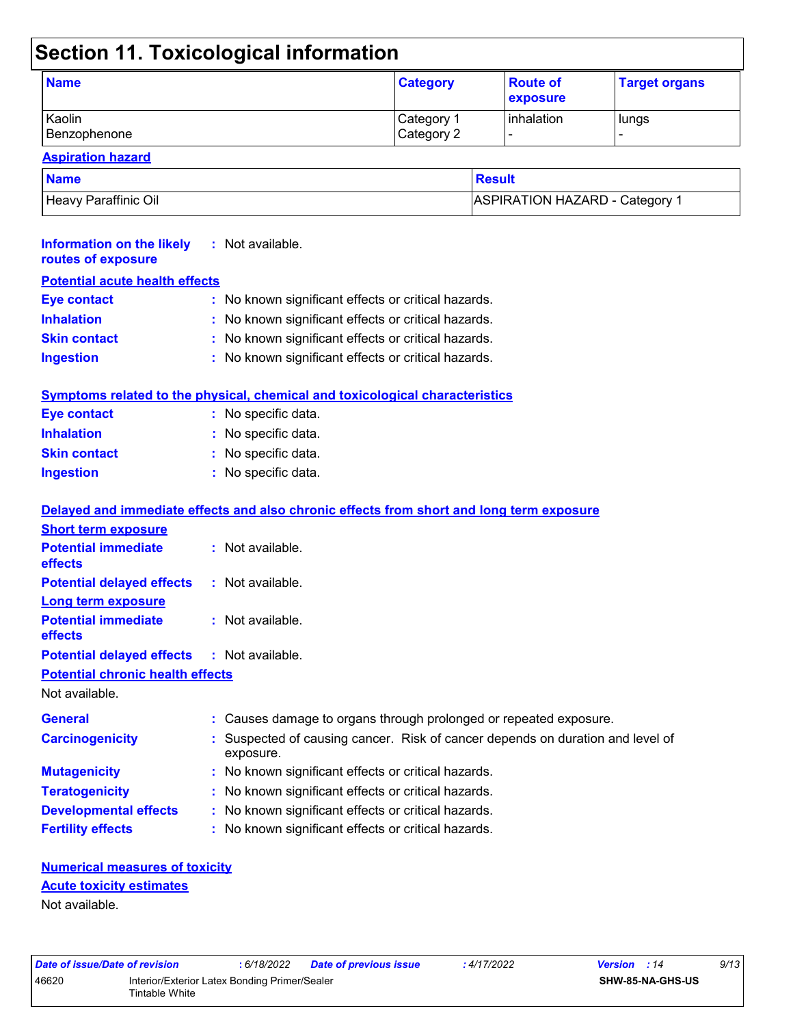# **Section 11. Toxicological information**

| <b>Name</b>  | <b>Category</b>       | <b>Route of</b><br><b>exposure</b> | <b>Target organs</b> |
|--------------|-----------------------|------------------------------------|----------------------|
| Kaolin       | Category <sup>1</sup> | inhalation                         | lungs                |
| Benzophenone | Category 2            |                                    | -                    |

#### **Aspiration hazard**

| <b>Name</b>          | Result                       |
|----------------------|------------------------------|
| Heavy Paraffinic Oil | ASPIRATION HAZARD - Category |

| <b>Information on the likely</b><br>routes of exposure    | : Not available.                                                                          |
|-----------------------------------------------------------|-------------------------------------------------------------------------------------------|
| <b>Potential acute health effects</b>                     |                                                                                           |
| <b>Eye contact</b>                                        | : No known significant effects or critical hazards.                                       |
| <b>Inhalation</b>                                         | No known significant effects or critical hazards.                                         |
| <b>Skin contact</b>                                       | No known significant effects or critical hazards.                                         |
| <b>Ingestion</b>                                          | No known significant effects or critical hazards.                                         |
|                                                           | Symptoms related to the physical, chemical and toxicological characteristics              |
| <b>Eye contact</b>                                        | : No specific data.                                                                       |
| <b>Inhalation</b>                                         | No specific data.                                                                         |
| <b>Skin contact</b>                                       | No specific data.                                                                         |
| <b>Ingestion</b>                                          | : No specific data.                                                                       |
|                                                           | Delayed and immediate effects and also chronic effects from short and long term exposure  |
| <b>Short term exposure</b>                                |                                                                                           |
| <b>Potential immediate</b><br>effects                     | $:$ Not available.                                                                        |
| <b>Potential delayed effects</b>                          | : Not available.                                                                          |
| <b>Long term exposure</b>                                 |                                                                                           |
| <b>Potential immediate</b><br>effects                     | : Not available.                                                                          |
| <b>Potential delayed effects</b>                          | : Not available.                                                                          |
| <b>Potential chronic health effects</b><br>Not available. |                                                                                           |
| <b>General</b>                                            | Causes damage to organs through prolonged or repeated exposure.                           |
| <b>Carcinogenicity</b>                                    | Suspected of causing cancer. Risk of cancer depends on duration and level of<br>exposure. |
| <b>Mutagenicity</b>                                       | No known significant effects or critical hazards.                                         |
| <b>Teratogenicity</b>                                     | No known significant effects or critical hazards.                                         |
| <b>Developmental effects</b>                              | No known significant effects or critical hazards.                                         |
| <b>Fertility effects</b>                                  | No known significant effects or critical hazards.                                         |
|                                                           |                                                                                           |

#### **Numerical measures of toxicity** Not available. **Acute toxicity estimates**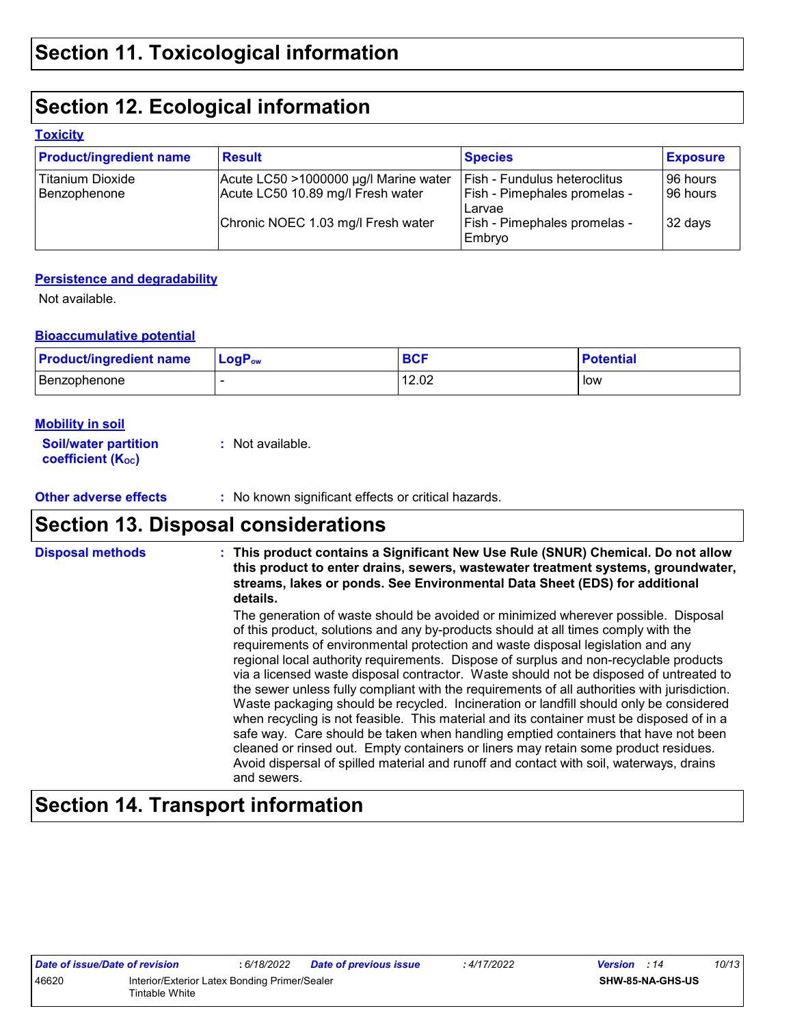# **Section 12. Ecological information**

#### **Toxicity**

| <b>Product/ingredient name</b>   | <b>Result</b>                                                              | <b>Species</b>                                               | <b>Exposure</b>        |
|----------------------------------|----------------------------------------------------------------------------|--------------------------------------------------------------|------------------------|
| Titanium Dioxide<br>Benzophenone | Acute LC50 >1000000 µg/l Marine water<br>Acute LC50 10.89 mg/l Fresh water | Fish - Fundulus heteroclitus<br>Fish - Pimephales promelas - | 196 hours<br>196 hours |
|                                  | Chronic NOEC 1.03 mg/l Fresh water                                         | Larvae<br>Fish - Pimephales promelas -<br>Embryo             | 32 days                |

#### **Persistence and degradability**

Not available.

#### **Bioaccumulative potential**

| <b>Product/ingredient name</b> | $\mathsf{LogP}_\mathsf{ow}$ | <b>BCF</b> | <b>Potential</b> |
|--------------------------------|-----------------------------|------------|------------------|
| Benzophenone                   |                             | 12.02      | low              |

#### **Mobility in soil**

| <b>Soil/water partition</b> | : Not available. |
|-----------------------------|------------------|
| <b>coefficient (Koc)</b>    |                  |

**Other adverse effects** : No known significant effects or critical hazards.

# **Section 13. Disposal considerations**

| <b>Disposal methods</b> | : This product contains a Significant New Use Rule (SNUR) Chemical. Do not allow<br>this product to enter drains, sewers, wastewater treatment systems, groundwater,<br>streams, lakes or ponds. See Environmental Data Sheet (EDS) for additional<br>details.                                                                                                                                                                                                                                                                                                                                                                                                                                                                                                                                                                                                                                                                                                                                                              |
|-------------------------|-----------------------------------------------------------------------------------------------------------------------------------------------------------------------------------------------------------------------------------------------------------------------------------------------------------------------------------------------------------------------------------------------------------------------------------------------------------------------------------------------------------------------------------------------------------------------------------------------------------------------------------------------------------------------------------------------------------------------------------------------------------------------------------------------------------------------------------------------------------------------------------------------------------------------------------------------------------------------------------------------------------------------------|
|                         | The generation of waste should be avoided or minimized wherever possible. Disposal<br>of this product, solutions and any by-products should at all times comply with the<br>requirements of environmental protection and waste disposal legislation and any<br>regional local authority requirements. Dispose of surplus and non-recyclable products<br>via a licensed waste disposal contractor. Waste should not be disposed of untreated to<br>the sewer unless fully compliant with the requirements of all authorities with jurisdiction.<br>Waste packaging should be recycled. Incineration or landfill should only be considered<br>when recycling is not feasible. This material and its container must be disposed of in a<br>safe way. Care should be taken when handling emptied containers that have not been<br>cleaned or rinsed out. Empty containers or liners may retain some product residues.<br>Avoid dispersal of spilled material and runoff and contact with soil, waterways, drains<br>and sewers. |

# **Section 14. Transport information**

|       | Date of issue/Date of revision | : 6/18/2022                                   | <b>Date of previous issue</b> | : 4/17/2022 | <b>Version</b> : 14 | 10/13                   |
|-------|--------------------------------|-----------------------------------------------|-------------------------------|-------------|---------------------|-------------------------|
| 46620 |                                | Interior/Exterior Latex Bonding Primer/Sealer |                               |             |                     | <b>SHW-85-NA-GHS-US</b> |
|       | Tintable White                 |                                               |                               |             |                     |                         |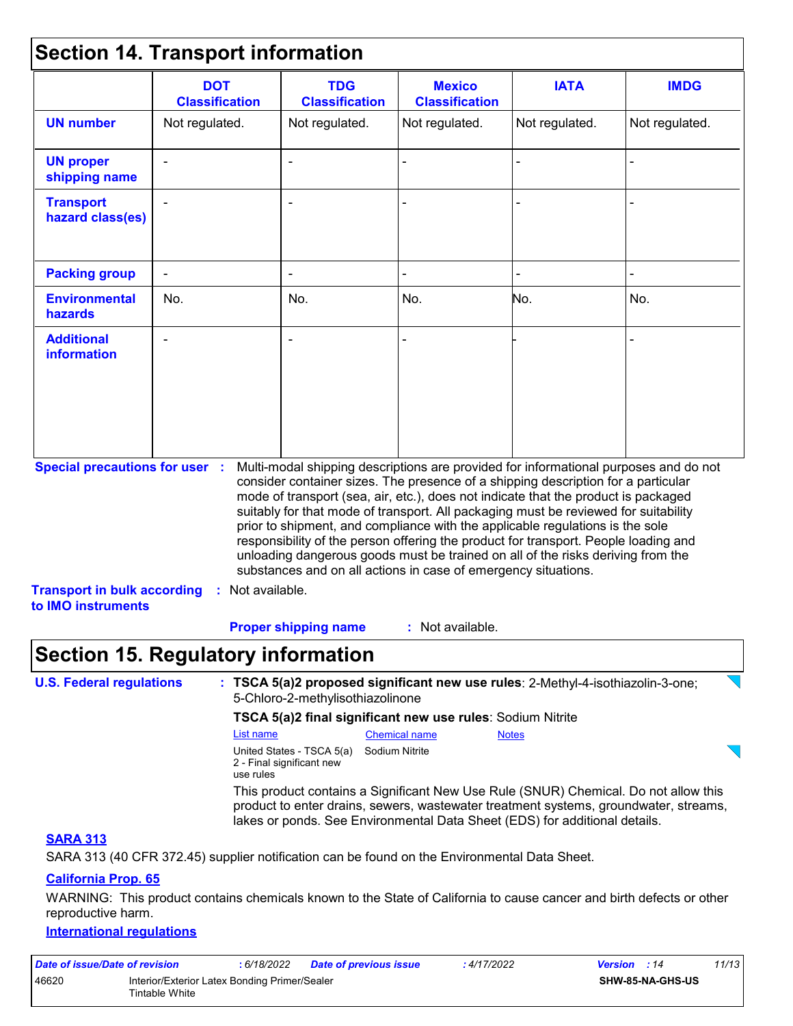### **Section 14. Transport information**

|                                                          | <b>DOT</b><br><b>Classification</b>       | <b>TDG</b><br><b>Classification</b>                                                                                                                                                                                                                                                                                                                                                                                                                                                                    | <b>Mexico</b><br><b>Classification</b> | <b>IATA</b>    | <b>IMDG</b>    |  |  |  |
|----------------------------------------------------------|-------------------------------------------|--------------------------------------------------------------------------------------------------------------------------------------------------------------------------------------------------------------------------------------------------------------------------------------------------------------------------------------------------------------------------------------------------------------------------------------------------------------------------------------------------------|----------------------------------------|----------------|----------------|--|--|--|
| <b>UN number</b>                                         | Not regulated.                            |                                                                                                                                                                                                                                                                                                                                                                                                                                                                                                        | Not regulated.                         | Not regulated. | Not regulated. |  |  |  |
| <b>UN proper</b><br>shipping name                        |                                           |                                                                                                                                                                                                                                                                                                                                                                                                                                                                                                        |                                        |                |                |  |  |  |
| <b>Transport</b><br>hazard class(es)                     |                                           |                                                                                                                                                                                                                                                                                                                                                                                                                                                                                                        |                                        |                |                |  |  |  |
| <b>Packing group</b>                                     | $\blacksquare$                            | ۰                                                                                                                                                                                                                                                                                                                                                                                                                                                                                                      |                                        |                |                |  |  |  |
| <b>Environmental</b><br>hazards                          | No.                                       | No.                                                                                                                                                                                                                                                                                                                                                                                                                                                                                                    | No.                                    | No.            | No.            |  |  |  |
| <b>Additional</b><br>information                         |                                           |                                                                                                                                                                                                                                                                                                                                                                                                                                                                                                        |                                        |                |                |  |  |  |
| <b>Special precautions for user :</b>                    |                                           | Multi-modal shipping descriptions are provided for informational purposes and do not<br>consider container sizes. The presence of a shipping description for a particular                                                                                                                                                                                                                                                                                                                              |                                        |                |                |  |  |  |
|                                                          |                                           | mode of transport (sea, air, etc.), does not indicate that the product is packaged<br>suitably for that mode of transport. All packaging must be reviewed for suitability<br>prior to shipment, and compliance with the applicable regulations is the sole<br>responsibility of the person offering the product for transport. People loading and<br>unloading dangerous goods must be trained on all of the risks deriving from the<br>substances and on all actions in case of emergency situations. |                                        |                |                |  |  |  |
| <b>Transport in bulk according</b><br>to IMO instruments | : Not available.                          |                                                                                                                                                                                                                                                                                                                                                                                                                                                                                                        |                                        |                |                |  |  |  |
|                                                          |                                           | : Not available.<br><b>Proper shipping name</b>                                                                                                                                                                                                                                                                                                                                                                                                                                                        |                                        |                |                |  |  |  |
|                                                          | <b>Section 15. Regulatory information</b> |                                                                                                                                                                                                                                                                                                                                                                                                                                                                                                        |                                        |                |                |  |  |  |
| <b>U.S. Federal regulations</b>                          |                                           | : TSCA 5(a)2 proposed significant new use rules: 2-Methyl-4-isothiazolin-3-one;<br>5-Chloro-2-methylisothiazolinone                                                                                                                                                                                                                                                                                                                                                                                    |                                        |                |                |  |  |  |
|                                                          |                                           | TSCA 5(a)2 final significant new use rules: Sodium Nitrite                                                                                                                                                                                                                                                                                                                                                                                                                                             |                                        |                |                |  |  |  |
|                                                          | List name                                 |                                                                                                                                                                                                                                                                                                                                                                                                                                                                                                        | <b>Chemical name</b>                   | <b>Notes</b>   |                |  |  |  |
|                                                          | use rules                                 | United States - TSCA 5(a)<br>2 - Final significant new                                                                                                                                                                                                                                                                                                                                                                                                                                                 | Sodium Nitrite                         |                |                |  |  |  |

This product contains a Significant New Use Rule (SNUR) Chemical. Do not allow this product to enter drains, sewers, wastewater treatment systems, groundwater, streams, lakes or ponds. See Environmental Data Sheet (EDS) for additional details.

#### **SARA 313**

SARA 313 (40 CFR 372.45) supplier notification can be found on the Environmental Data Sheet.

#### **California Prop. 65**

WARNING: This product contains chemicals known to the State of California to cause cancer and birth defects or other reproductive harm.

#### **International regulations**

| Date of issue/Date of revision |                                                                 | 6/18/2022 | Date of previous issue | : 4/17/2022 | <b>Version</b> : 14 |                         | 11/13 |
|--------------------------------|-----------------------------------------------------------------|-----------|------------------------|-------------|---------------------|-------------------------|-------|
| 46620                          | Interior/Exterior Latex Bonding Primer/Sealer<br>Tintable White |           |                        |             |                     | <b>SHW-85-NA-GHS-US</b> |       |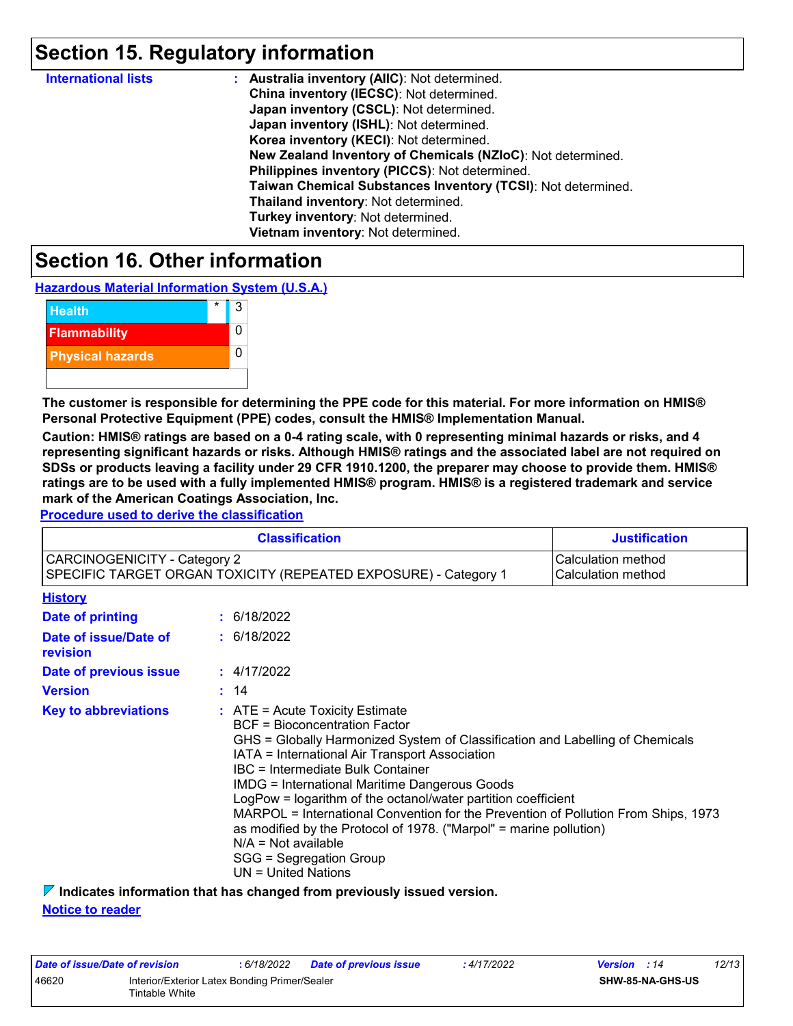### **Section 15. Regulatory information**

| <b>International lists</b> | : Australia inventory (AIIC): Not determined.                |
|----------------------------|--------------------------------------------------------------|
|                            | China inventory (IECSC): Not determined.                     |
|                            | Japan inventory (CSCL): Not determined.                      |
|                            | Japan inventory (ISHL): Not determined.                      |
|                            | Korea inventory (KECI): Not determined.                      |
|                            | New Zealand Inventory of Chemicals (NZIoC): Not determined.  |
|                            | Philippines inventory (PICCS): Not determined.               |
|                            | Taiwan Chemical Substances Inventory (TCSI): Not determined. |
|                            | Thailand inventory: Not determined.                          |
|                            | Turkey inventory: Not determined.                            |
|                            | Vietnam inventory: Not determined.                           |

### **Section 16. Other information**

**Hazardous Material Information System (U.S.A.)**



**The customer is responsible for determining the PPE code for this material. For more information on HMIS® Personal Protective Equipment (PPE) codes, consult the HMIS® Implementation Manual.**

**Caution: HMIS® ratings are based on a 0-4 rating scale, with 0 representing minimal hazards or risks, and 4 representing significant hazards or risks. Although HMIS® ratings and the associated label are not required on SDSs or products leaving a facility under 29 CFR 1910.1200, the preparer may choose to provide them. HMIS® ratings are to be used with a fully implemented HMIS® program. HMIS® is a registered trademark and service mark of the American Coatings Association, Inc.**

**Procedure used to derive the classification**

|                                                                                                                                                    |  | <b>Classification</b>                                                                                                                                                                                                                                                                                                                                                                                                                                                                                                                                                                                             | <b>Justification</b> |  |
|----------------------------------------------------------------------------------------------------------------------------------------------------|--|-------------------------------------------------------------------------------------------------------------------------------------------------------------------------------------------------------------------------------------------------------------------------------------------------------------------------------------------------------------------------------------------------------------------------------------------------------------------------------------------------------------------------------------------------------------------------------------------------------------------|----------------------|--|
| <b>CARCINOGENICITY - Category 2</b><br>Calculation method<br>SPECIFIC TARGET ORGAN TOXICITY (REPEATED EXPOSURE) - Category 1<br>Calculation method |  |                                                                                                                                                                                                                                                                                                                                                                                                                                                                                                                                                                                                                   |                      |  |
| <b>History</b>                                                                                                                                     |  |                                                                                                                                                                                                                                                                                                                                                                                                                                                                                                                                                                                                                   |                      |  |
| Date of printing                                                                                                                                   |  | : 6/18/2022                                                                                                                                                                                                                                                                                                                                                                                                                                                                                                                                                                                                       |                      |  |
| Date of issue/Date of<br>revision                                                                                                                  |  | : 6/18/2022                                                                                                                                                                                                                                                                                                                                                                                                                                                                                                                                                                                                       |                      |  |
| Date of previous issue                                                                                                                             |  | : 4/17/2022                                                                                                                                                                                                                                                                                                                                                                                                                                                                                                                                                                                                       |                      |  |
| <b>Version</b>                                                                                                                                     |  | : 14                                                                                                                                                                                                                                                                                                                                                                                                                                                                                                                                                                                                              |                      |  |
| <b>Key to abbreviations</b>                                                                                                                        |  | $:$ ATE = Acute Toxicity Estimate<br><b>BCF</b> = Bioconcentration Factor<br>GHS = Globally Harmonized System of Classification and Labelling of Chemicals<br>IATA = International Air Transport Association<br>IBC = Intermediate Bulk Container<br><b>IMDG = International Maritime Dangerous Goods</b><br>LogPow = logarithm of the octanol/water partition coefficient<br>MARPOL = International Convention for the Prevention of Pollution From Ships, 1973<br>as modified by the Protocol of 1978. ("Marpol" = marine pollution)<br>$N/A = Not available$<br>SGG = Segregation Group<br>UN = United Nations |                      |  |

**Indicates information that has changed from previously issued version. Notice to reader**

| Date of issue/Date of revision |                                                                 | : 6/18/2022 | <b>Date of previous issue</b> | : 4/17/2022 | <b>Version</b> : 14 | 12/13 |
|--------------------------------|-----------------------------------------------------------------|-------------|-------------------------------|-------------|---------------------|-------|
| 46620                          | Interior/Exterior Latex Bonding Primer/Sealer<br>Tintable White |             |                               |             | SHW-85-NA-GHS-US    |       |